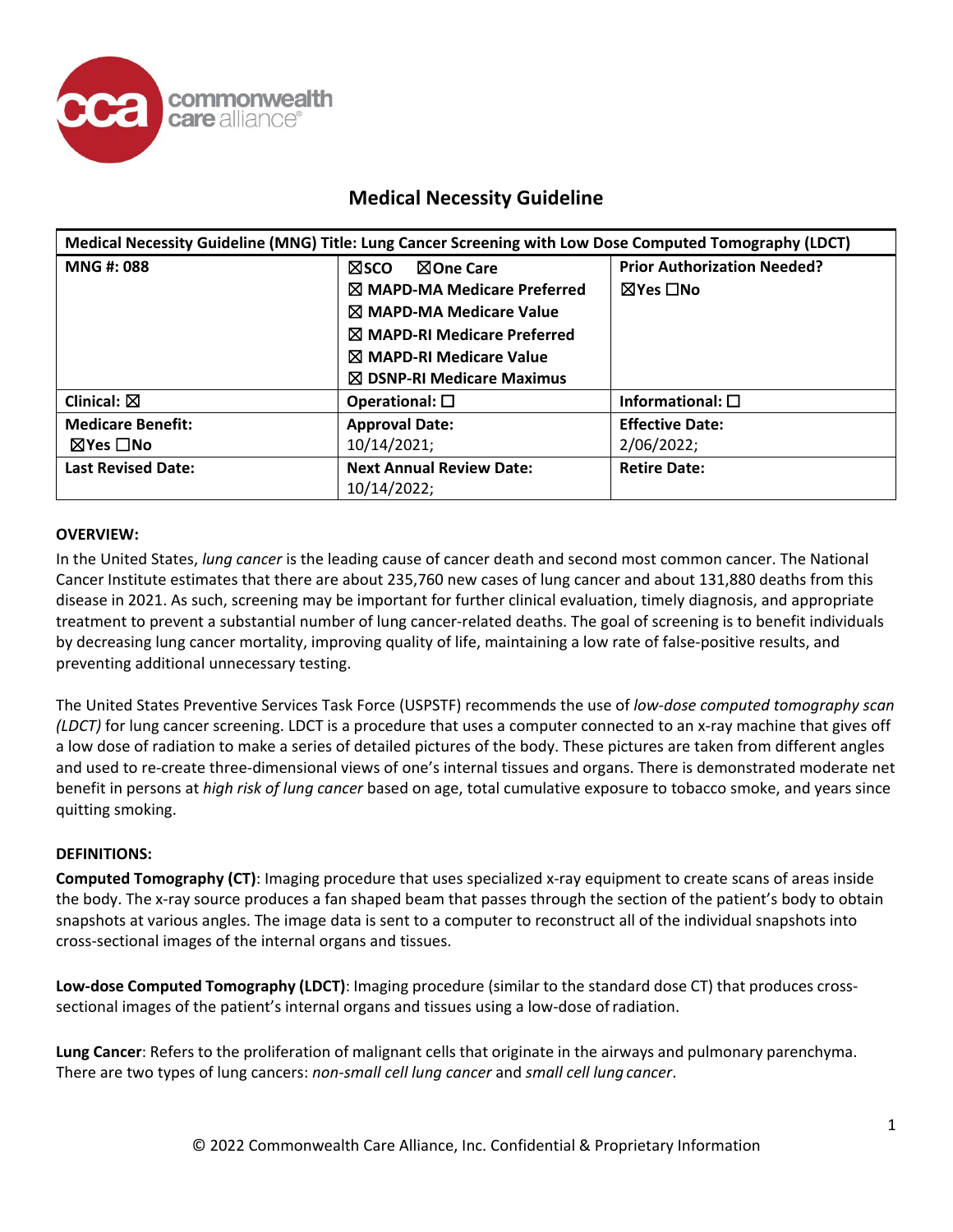

| Medical Necessity Guideline (MNG) Title: Lung Cancer Screening with Low Dose Computed Tomography (LDCT) |                                        |                                    |  |  |
|---------------------------------------------------------------------------------------------------------|----------------------------------------|------------------------------------|--|--|
| <b>MNG#: 088</b>                                                                                        | <b>NOne Care</b><br><b>NSCO</b>        | <b>Prior Authorization Needed?</b> |  |  |
|                                                                                                         | $\boxtimes$ MAPD-MA Medicare Preferred | $\boxtimes$ Yes $\Box$ No          |  |  |
|                                                                                                         | $\boxtimes$ MAPD-MA Medicare Value     |                                    |  |  |
|                                                                                                         | $\boxtimes$ MAPD-RI Medicare Preferred |                                    |  |  |
|                                                                                                         | $\boxtimes$ MAPD-RI Medicare Value     |                                    |  |  |
|                                                                                                         | $\boxtimes$ DSNP-RI Medicare Maximus   |                                    |  |  |
| Clinical: $\boxtimes$                                                                                   | Operational: $\square$                 | Informational: $\square$           |  |  |
| <b>Medicare Benefit:</b>                                                                                | <b>Approval Date:</b>                  | <b>Effective Date:</b>             |  |  |
| $\boxtimes$ Yes $\Box$ No                                                                               | 10/14/2021;                            | 2/06/2022;                         |  |  |
| <b>Last Revised Date:</b>                                                                               | <b>Next Annual Review Date:</b>        | <b>Retire Date:</b>                |  |  |
|                                                                                                         | 10/14/2022;                            |                                    |  |  |

#### **OVERVIEW:**

In the United States, *lung cancer* is the leading cause of cancer death and second most common cancer. The National Cancer Institute estimates that there are about 235,760 new cases of lung cancer and about 131,880 deaths from this disease in 2021. As such, screening may be important for further clinical evaluation, timely diagnosis, and appropriate treatment to prevent a substantial number of lung cancer-related deaths. The goal of screening is to benefit individuals by decreasing lung cancer mortality, improving quality of life, maintaining a low rate of false-positive results, and preventing additional unnecessary testing.

The United States Preventive Services Task Force (USPSTF) recommends the use of *low-dose computed tomography scan (LDCT)* for lung cancer screening. LDCT is a procedure that uses a computer connected to an x-ray machine that gives off a low dose of radiation to make a series of detailed pictures of the body. These pictures are taken from different angles and used to re-create three-dimensional views of one's internal tissues and organs. There is demonstrated moderate net benefit in persons at *high risk of lung cancer* based on age, total cumulative exposure to tobacco smoke, and years since quitting smoking.

#### **DEFINITIONS:**

**Computed Tomography (CT)**: Imaging procedure that uses specialized x-ray equipment to create scans of areas inside the body. The x-ray source produces a fan shaped beam that passes through the section of the patient's body to obtain snapshots at various angles. The image data is sent to a computer to reconstruct all of the individual snapshots into cross-sectional images of the internal organs and tissues.

**Low-dose Computed Tomography (LDCT)**: Imaging procedure (similar to the standard dose CT) that produces crosssectional images of the patient's internal organs and tissues using a low-dose ofradiation.

**Lung Cancer**: Refers to the proliferation of malignant cells that originate in the airways and pulmonary parenchyma. There are two types of lung cancers: *non-small cell lung cancer* and *small cell lung cancer*.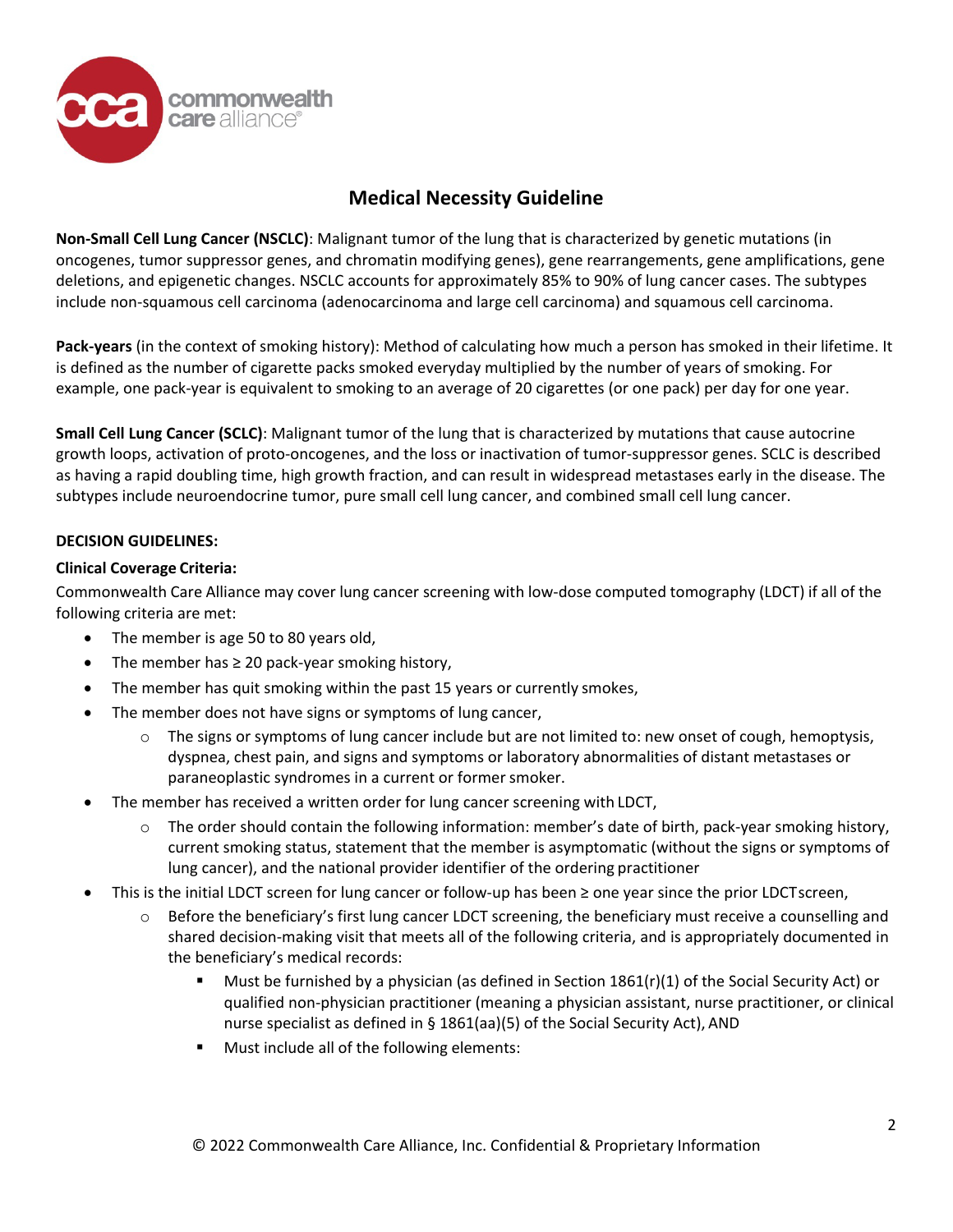

**Non-Small Cell Lung Cancer (NSCLC)**: Malignant tumor of the lung that is characterized by genetic mutations (in oncogenes, tumor suppressor genes, and chromatin modifying genes), gene rearrangements, gene amplifications, gene deletions, and epigenetic changes. NSCLC accounts for approximately 85% to 90% of lung cancer cases. The subtypes include non-squamous cell carcinoma (adenocarcinoma and large cell carcinoma) and squamous cell carcinoma.

**Pack-years** (in the context of smoking history): Method of calculating how much a person has smoked in their lifetime. It is defined as the number of cigarette packs smoked everyday multiplied by the number of years of smoking. For example, one pack-year is equivalent to smoking to an average of 20 cigarettes (or one pack) per day for one year.

**Small Cell Lung Cancer (SCLC)**: Malignant tumor of the lung that is characterized by mutations that cause autocrine growth loops, activation of proto-oncogenes, and the loss or inactivation of tumor-suppressor genes. SCLC is described as having a rapid doubling time, high growth fraction, and can result in widespread metastases early in the disease. The subtypes include neuroendocrine tumor, pure small cell lung cancer, and combined small cell lung cancer.

### **DECISION GUIDELINES:**

### **Clinical Coverage Criteria:**

Commonwealth Care Alliance may cover lung cancer screening with low-dose computed tomography (LDCT) if all of the following criteria are met:

- The member is age 50 to 80 years old,
- The member has ≥ 20 pack-year smoking history,
- The member has quit smoking within the past 15 years or currently smokes,
- The member does not have signs or symptoms of lung cancer,
	- $\circ$  The signs or symptoms of lung cancer include but are not limited to: new onset of cough, hemoptysis, dyspnea, chest pain, and signs and symptoms or laboratory abnormalities of distant metastases or paraneoplastic syndromes in a current or former smoker.
- The member has received a written order for lung cancer screening with LDCT,
	- $\circ$  The order should contain the following information: member's date of birth, pack-year smoking history, current smoking status, statement that the member is asymptomatic (without the signs or symptoms of lung cancer), and the national provider identifier of the ordering practitioner
- This is the initial LDCT screen for lung cancer or follow-up has been ≥ one year since the prior LDCTscreen,
	- Before the beneficiary's first lung cancer LDCT screening, the beneficiary must receive a counselling and shared decision-making visit that meets all of the following criteria, and is appropriately documented in the beneficiary's medical records:
		- Must be furnished by a physician (as defined in Section  $1861(r)(1)$  of the Social Security Act) or qualified non-physician practitioner (meaning a physician assistant, nurse practitioner, or clinical nurse specialist as defined in § 1861(aa)(5) of the Social Security Act), AND
		- Must include all of the following elements: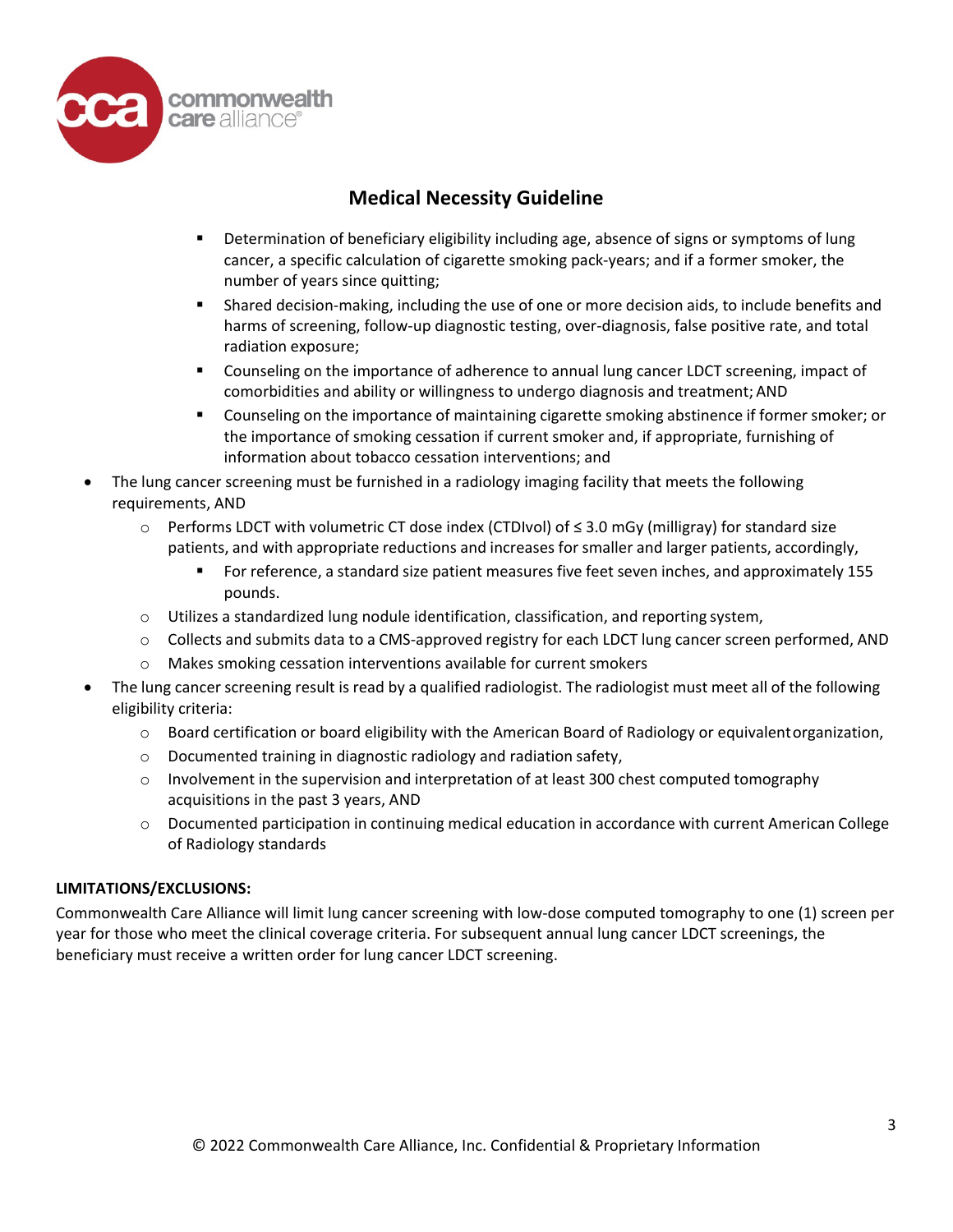

- **•** Determination of beneficiary eligibility including age, absence of signs or symptoms of lung cancer, a specific calculation of cigarette smoking pack-years; and if a former smoker, the number of years since quitting;
- Shared decision-making, including the use of one or more decision aids, to include benefits and harms of screening, follow-up diagnostic testing, over-diagnosis, false positive rate, and total radiation exposure;
- Counseling on the importance of adherence to annual lung cancer LDCT screening, impact of comorbidities and ability or willingness to undergo diagnosis and treatment; AND
- Counseling on the importance of maintaining cigarette smoking abstinence if former smoker; or the importance of smoking cessation if current smoker and, if appropriate, furnishing of information about tobacco cessation interventions; and
- The lung cancer screening must be furnished in a radiology imaging facility that meets the following requirements, AND
	- o Performs LDCT with volumetric CT dose index (CTDIvol) of ≤ 3.0 mGy (milligray) for standard size patients, and with appropriate reductions and increases for smaller and larger patients, accordingly,
		- **For reference, a standard size patient measures five feet seven inches, and approximately 155** pounds.
	- o Utilizes a standardized lung nodule identification, classification, and reporting system,
	- $\circ$  Collects and submits data to a CMS-approved registry for each LDCT lung cancer screen performed, AND
	- o Makes smoking cessation interventions available for currentsmokers
- The lung cancer screening result is read by a qualified radiologist. The radiologist must meet all of the following eligibility criteria:
	- o Board certification or board eligibility with the American Board of Radiology or equivalentorganization,
	- o Documented training in diagnostic radiology and radiation safety,
	- $\circ$  Involvement in the supervision and interpretation of at least 300 chest computed tomography acquisitions in the past 3 years, AND
	- $\circ$  Documented participation in continuing medical education in accordance with current American College of Radiology standards

### **LIMITATIONS/EXCLUSIONS:**

Commonwealth Care Alliance will limit lung cancer screening with low-dose computed tomography to one (1) screen per year for those who meet the clinical coverage criteria. For subsequent annual lung cancer LDCT screenings, the beneficiary must receive a written order for lung cancer LDCT screening.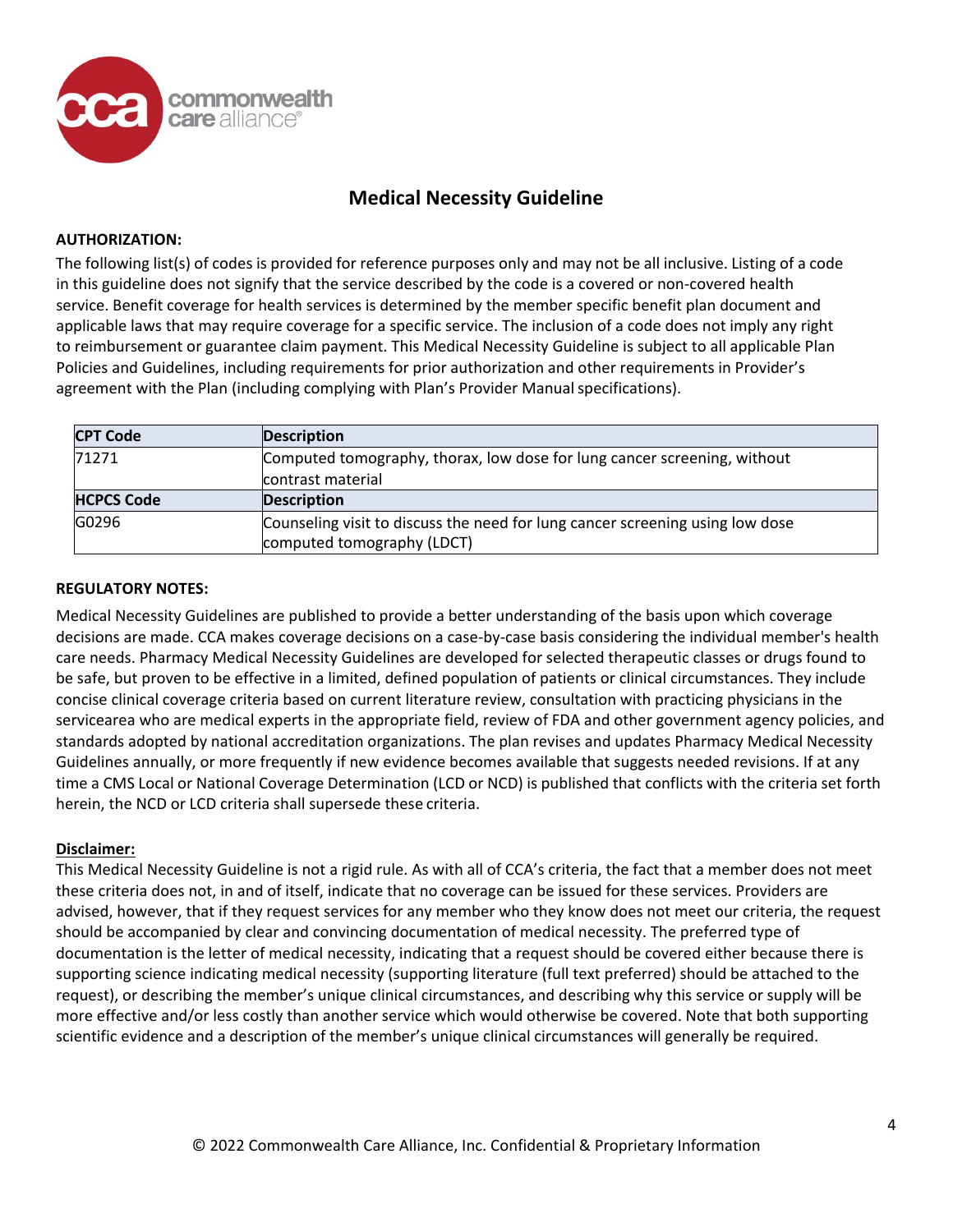

#### **AUTHORIZATION:**

The following list(s) of codes is provided for reference purposes only and may not be all inclusive. Listing of a code in this guideline does not signify that the service described by the code is a covered or non-covered health service. Benefit coverage for health services is determined by the member specific benefit plan document and applicable laws that may require coverage for a specific service. The inclusion of a code does not imply any right to reimbursement or guarantee claim payment. This Medical Necessity Guideline is subject to all applicable Plan Policies and Guidelines, including requirements for prior authorization and other requirements in Provider's agreement with the Plan (including complying with Plan's Provider Manualspecifications).

| <b>CPT Code</b>   | Description                                                                                                 |  |
|-------------------|-------------------------------------------------------------------------------------------------------------|--|
| 71271             | Computed tomography, thorax, low dose for lung cancer screening, without                                    |  |
|                   | contrast material                                                                                           |  |
| <b>HCPCS Code</b> | Description                                                                                                 |  |
| G0296             | Counseling visit to discuss the need for lung cancer screening using low dose<br>computed tomography (LDCT) |  |

#### **REGULATORY NOTES:**

Medical Necessity Guidelines are published to provide a better understanding of the basis upon which coverage decisions are made. CCA makes coverage decisions on a case-by-case basis considering the individual member's health care needs. Pharmacy Medical Necessity Guidelines are developed for selected therapeutic classes or drugs found to be safe, but proven to be effective in a limited, defined population of patients or clinical circumstances. They include concise clinical coverage criteria based on current literature review, consultation with practicing physicians in the servicearea who are medical experts in the appropriate field, review of FDA and other government agency policies, and standards adopted by national accreditation organizations. The plan revises and updates Pharmacy Medical Necessity Guidelines annually, or more frequently if new evidence becomes available that suggests needed revisions. If at any time a CMS Local or National Coverage Determination (LCD or NCD) is published that conflicts with the criteria set forth herein, the NCD or LCD criteria shall supersede these criteria.

#### **Disclaimer:**

This Medical Necessity Guideline is not a rigid rule. As with all of CCA's criteria, the fact that a member does not meet these criteria does not, in and of itself, indicate that no coverage can be issued for these services. Providers are advised, however, that if they request services for any member who they know does not meet our criteria, the request should be accompanied by clear and convincing documentation of medical necessity. The preferred type of documentation is the letter of medical necessity, indicating that a request should be covered either because there is supporting science indicating medical necessity (supporting literature (full text preferred) should be attached to the request), or describing the member's unique clinical circumstances, and describing why this service or supply will be more effective and/or less costly than another service which would otherwise be covered. Note that both supporting scientific evidence and a description of the member's unique clinical circumstances will generally be required.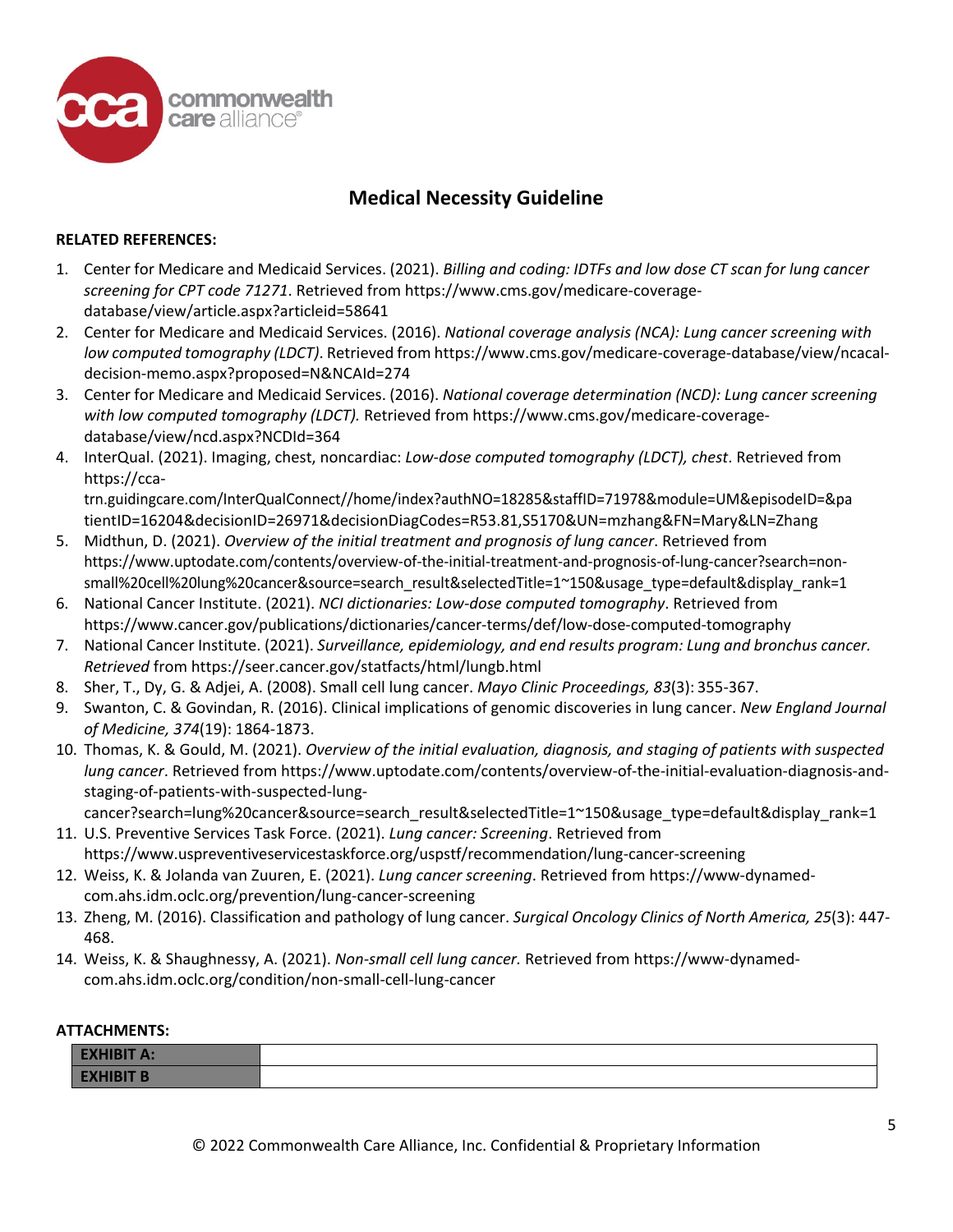

### **RELATED REFERENCES:**

- 1. Center for Medicare and Medicaid Services. (2021). *Billing and coding: IDTFs and low dose CT scan for lung cancer screening for CPT code 71271*. Retrieved from https:[//www.cms.gov/medicare-coverage](http://www.cms.gov/medicare-coverage-)database/view/article.aspx?articleid=58641
- 2. Center for Medicare and Medicaid Services. (2016). *National coverage analysis (NCA): Lung cancer screening with low computed tomography (LDCT)*. Retrieved from htt[ps://www.cms.gov/medicare-coverage-database/view/ncacal](http://www.cms.gov/medicare-coverage-database/view/ncacal-)decision-memo.aspx?proposed=N&NCAId=274
- 3. Center for Medicare and Medicaid Services. (2016). *National coverage determination (NCD): Lung cancer screening with low computed tomography (LDCT).* Retrieved from htt[ps://www.cms.gov/medicare-coverage](http://www.cms.gov/medicare-coverage-)database/view/ncd.aspx?NCDId=364
- 4. InterQual. (2021). Imaging, chest, noncardiac: *Low-dose computed tomography (LDCT), chest*. Retrieved from https://cca-

trn.guidingcare.com/InterQualConnect//home/index?authNO=18285&staffID=71978&module=UM&episodeID=&pa tientID=16204&decisionID=26971&decisionDiagCodes=R53.81,S5170&UN=mzhang&FN=Mary&LN=Zhang

- 5. Midthun, D. (2021). *Overview of the initial treatment and prognosis of lung cancer*. Retrieved from htt[ps://www.uptodate.com/contents/overview-of-the-initial-treatment-and-prognosis-of-lung-cancer?search=non](http://www.uptodate.com/contents/overview-of-the-initial-treatment-and-prognosis-of-lung-cancer?search=non-)small%20cell%20lung%20cancer&source=search\_result&selectedTitle=1~150&usage\_type=default&display\_rank=1
- 6. National Cancer Institute. (2021). *NCI dictionaries: Low-dose computed tomography*. Retrieved from htt[ps://www.cancer.gov/publications/dictionaries/cancer-terms/def/low-dose-computed-tomography](http://www.cancer.gov/publications/dictionaries/cancer-terms/def/low-dose-computed-tomography)
- 7. National Cancer Institute. (2021). *Surveillance, epidemiology, and end results program: Lung and bronchus cancer. Retrieved* from https://seer.cancer.gov/statfacts/html/lungb.html
- 8. Sher, T., Dy, G. & Adjei, A. (2008). Small cell lung cancer. *Mayo Clinic Proceedings, 83*(3): 355-367.
- 9. Swanton, C. & Govindan, R. (2016). Clinical implications of genomic discoveries in lung cancer. *New England Journal of Medicine, 374*(19): 1864-1873.
- 10. Thomas, K. & Gould, M. (2021). *Overview of the initial evaluation, diagnosis, and staging of patients with suspected lung cancer*. Retrieved from htt[ps://www.uptodate.com/contents/overview-of-the-initial-evaluation-diagnosis-and](http://www.uptodate.com/contents/overview-of-the-initial-evaluation-diagnosis-and-)staging-of-patients-with-suspected-lung-

cancer?search=lung%20cancer&source=search\_result&selectedTitle=1~150&usage\_type=default&display\_rank=1

- 11. U.S. Preventive Services Task Force. (2021). *Lung cancer: Screening*. Retrieved from https[://www.uspreventiveservicestaskforce.org/uspstf/recommendation/lung-cancer-screening](http://www.uspreventiveservicestaskforce.org/uspstf/recommendation/lung-cancer-screening)
- 12. Weiss, K. & Jolanda van Zuuren, E. (2021). *Lung cancer screening*. Retrieved from https://www-dynamedcom.ahs.idm.oclc.org/prevention/lung-cancer-screening
- 13. Zheng, M. (2016). Classification and pathology of lung cancer. *Surgical Oncology Clinics of North America, 25*(3): 447- 468.
- 14. Weiss, K. & Shaughnessy, A. (2021). *Non-small cell lung cancer.* Retrieved from https://www-dynamedcom.ahs.idm.oclc.org/condition/non-small-cell-lung-cancer

#### **ATTACHMENTS:**

| <b>EXHIBIT A:</b> |  |
|-------------------|--|
| <b>EXHIBIT B</b>  |  |